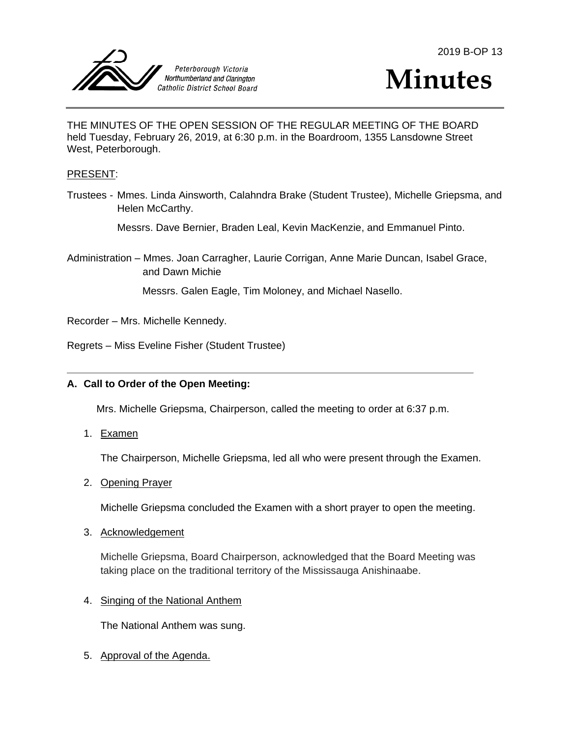



THE MINUTES OF THE OPEN SESSION OF THE REGULAR MEETING OF THE BOARD held Tuesday, February 26, 2019, at 6:30 p.m. in the Boardroom, 1355 Lansdowne Street West, Peterborough.

#### PRESENT:

Trustees - Mmes. Linda Ainsworth, Calahndra Brake (Student Trustee), Michelle Griepsma, and Helen McCarthy.

Messrs. Dave Bernier, Braden Leal, Kevin MacKenzie, and Emmanuel Pinto.

Administration – Mmes. Joan Carragher, Laurie Corrigan, Anne Marie Duncan, Isabel Grace, and Dawn Michie

Messrs. Galen Eagle, Tim Moloney, and Michael Nasello.

Recorder – Mrs. Michelle Kennedy.

Regrets – Miss Eveline Fisher (Student Trustee)

## **A. Call to Order of the Open Meeting:**

Mrs. Michelle Griepsma, Chairperson, called the meeting to order at 6:37 p.m.

1. Examen

The Chairperson, Michelle Griepsma, led all who were present through the Examen.

2. Opening Prayer

Michelle Griepsma concluded the Examen with a short prayer to open the meeting.

3. Acknowledgement

Michelle Griepsma, Board Chairperson, acknowledged that the Board Meeting was taking place on the traditional territory of the Mississauga Anishinaabe.

4. Singing of the National Anthem

The National Anthem was sung.

5. Approval of the Agenda.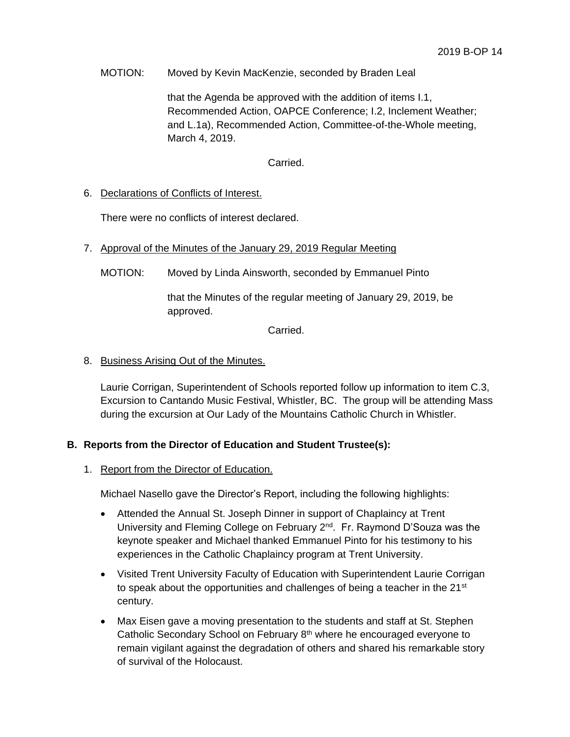### MOTION: Moved by Kevin MacKenzie, seconded by Braden Leal

that the Agenda be approved with the addition of items I.1, Recommended Action, OAPCE Conference; I.2, Inclement Weather; and L.1a), Recommended Action, Committee-of-the-Whole meeting, March 4, 2019.

### Carried.

## 6. Declarations of Conflicts of Interest.

There were no conflicts of interest declared.

- 7. Approval of the Minutes of the January 29, 2019 Regular Meeting
	- MOTION: Moved by Linda Ainsworth, seconded by Emmanuel Pinto

that the Minutes of the regular meeting of January 29, 2019, be approved.

Carried.

## 8. Business Arising Out of the Minutes.

Laurie Corrigan, Superintendent of Schools reported follow up information to item C.3, Excursion to Cantando Music Festival, Whistler, BC. The group will be attending Mass during the excursion at Our Lady of the Mountains Catholic Church in Whistler.

## **B. Reports from the Director of Education and Student Trustee(s):**

#### 1. Report from the Director of Education.

Michael Nasello gave the Director's Report, including the following highlights:

- Attended the Annual St. Joseph Dinner in support of Chaplaincy at Trent University and Fleming College on February 2<sup>nd</sup>. Fr. Raymond D'Souza was the keynote speaker and Michael thanked Emmanuel Pinto for his testimony to his experiences in the Catholic Chaplaincy program at Trent University.
- Visited Trent University Faculty of Education with Superintendent Laurie Corrigan to speak about the opportunities and challenges of being a teacher in the  $21<sup>st</sup>$ century.
- Max Eisen gave a moving presentation to the students and staff at St. Stephen Catholic Secondary School on February 8<sup>th</sup> where he encouraged everyone to remain vigilant against the degradation of others and shared his remarkable story of survival of the Holocaust.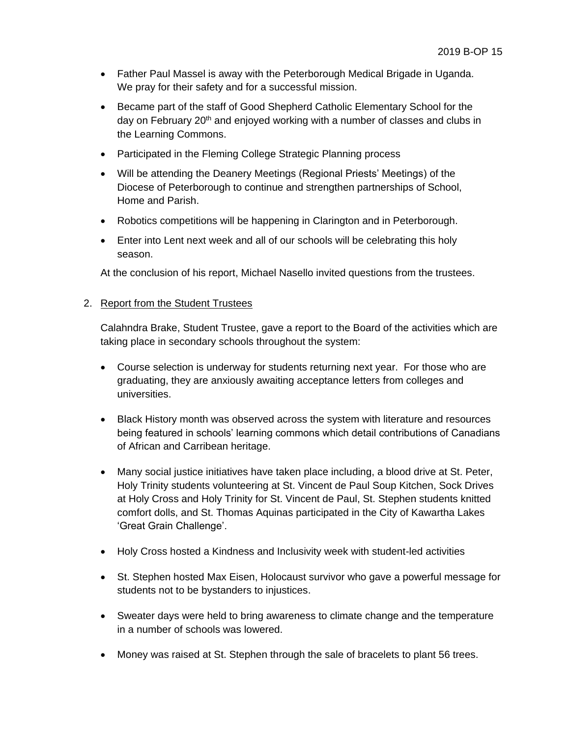- Father Paul Massel is away with the Peterborough Medical Brigade in Uganda. We pray for their safety and for a successful mission.
- Became part of the staff of Good Shepherd Catholic Elementary School for the day on February 20<sup>th</sup> and enjoyed working with a number of classes and clubs in the Learning Commons.
- Participated in the Fleming College Strategic Planning process
- Will be attending the Deanery Meetings (Regional Priests' Meetings) of the Diocese of Peterborough to continue and strengthen partnerships of School, Home and Parish.
- Robotics competitions will be happening in Clarington and in Peterborough.
- Enter into Lent next week and all of our schools will be celebrating this holy season.

At the conclusion of his report, Michael Nasello invited questions from the trustees.

## 2. Report from the Student Trustees

Calahndra Brake, Student Trustee, gave a report to the Board of the activities which are taking place in secondary schools throughout the system:

- Course selection is underway for students returning next year. For those who are graduating, they are anxiously awaiting acceptance letters from colleges and universities.
- Black History month was observed across the system with literature and resources being featured in schools' learning commons which detail contributions of Canadians of African and Carribean heritage.
- Many social justice initiatives have taken place including, a blood drive at St. Peter, Holy Trinity students volunteering at St. Vincent de Paul Soup Kitchen, Sock Drives at Holy Cross and Holy Trinity for St. Vincent de Paul, St. Stephen students knitted comfort dolls, and St. Thomas Aquinas participated in the City of Kawartha Lakes 'Great Grain Challenge'.
- Holy Cross hosted a Kindness and Inclusivity week with student-led activities
- St. Stephen hosted Max Eisen, Holocaust survivor who gave a powerful message for students not to be bystanders to injustices.
- Sweater days were held to bring awareness to climate change and the temperature in a number of schools was lowered.
- Money was raised at St. Stephen through the sale of bracelets to plant 56 trees.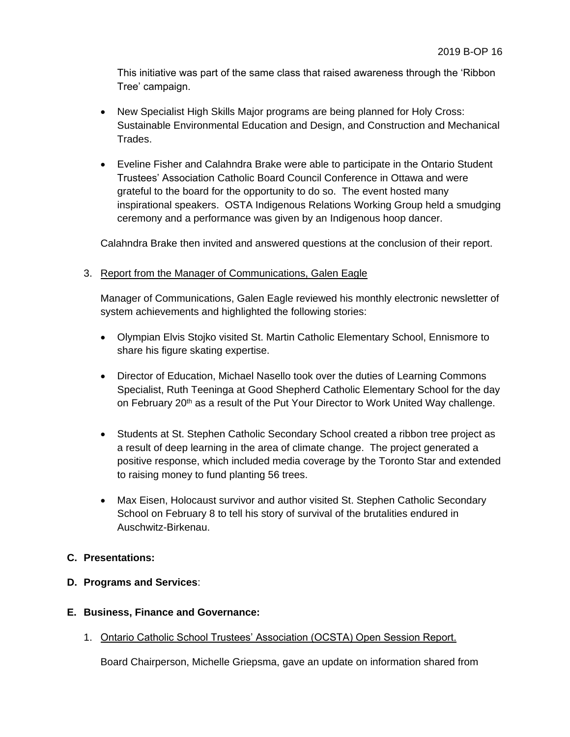This initiative was part of the same class that raised awareness through the 'Ribbon Tree' campaign.

- New Specialist High Skills Major programs are being planned for Holy Cross: Sustainable Environmental Education and Design, and Construction and Mechanical Trades.
- Eveline Fisher and Calahndra Brake were able to participate in the Ontario Student Trustees' Association Catholic Board Council Conference in Ottawa and were grateful to the board for the opportunity to do so. The event hosted many inspirational speakers. OSTA Indigenous Relations Working Group held a smudging ceremony and a performance was given by an Indigenous hoop dancer.

Calahndra Brake then invited and answered questions at the conclusion of their report.

## 3. Report from the Manager of Communications, Galen Eagle

Manager of Communications, Galen Eagle reviewed his monthly electronic newsletter of system achievements and highlighted the following stories:

- Olympian Elvis Stojko visited St. Martin Catholic Elementary School, Ennismore to share his figure skating expertise.
- Director of Education, Michael Nasello took over the duties of Learning Commons Specialist, Ruth Teeninga at Good Shepherd Catholic Elementary School for the day on February 20<sup>th</sup> as a result of the Put Your Director to Work United Way challenge.
- Students at St. Stephen Catholic Secondary School created a ribbon tree project as a result of deep learning in the area of climate change. The project generated a positive response, which included media coverage by the Toronto Star and extended to raising money to fund planting 56 trees.
- Max Eisen, Holocaust survivor and author visited St. Stephen Catholic Secondary School on February 8 to tell his story of survival of the brutalities endured in Auschwitz-Birkenau.

## **C. Presentations:**

## **D. Programs and Services**:

## **E. Business, Finance and Governance:**

1. Ontario Catholic School Trustees' Association (OCSTA) Open Session Report.

Board Chairperson, Michelle Griepsma, gave an update on information shared from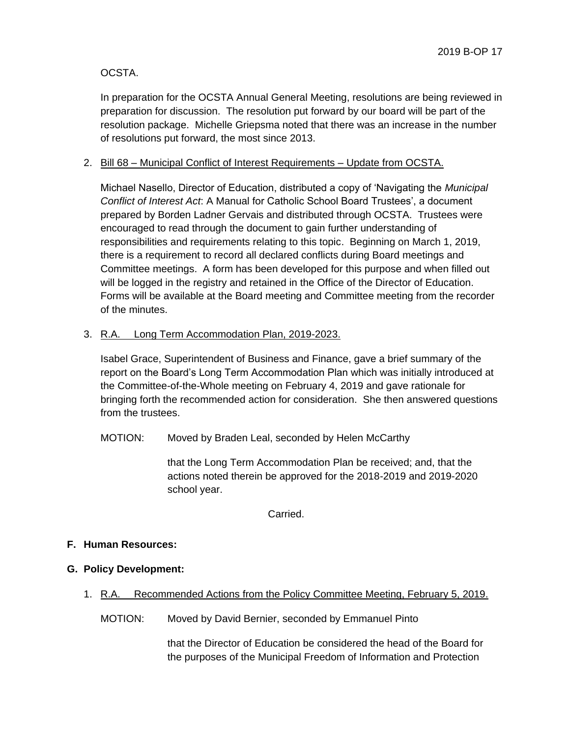OCSTA.

In preparation for the OCSTA Annual General Meeting, resolutions are being reviewed in preparation for discussion. The resolution put forward by our board will be part of the resolution package. Michelle Griepsma noted that there was an increase in the number of resolutions put forward, the most since 2013.

# 2. Bill 68 – Municipal Conflict of Interest Requirements – Update from OCSTA.

Michael Nasello, Director of Education, distributed a copy of 'Navigating the *Municipal Conflict of Interest Act*: A Manual for Catholic School Board Trustees', a document prepared by Borden Ladner Gervais and distributed through OCSTA. Trustees were encouraged to read through the document to gain further understanding of responsibilities and requirements relating to this topic. Beginning on March 1, 2019, there is a requirement to record all declared conflicts during Board meetings and Committee meetings. A form has been developed for this purpose and when filled out will be logged in the registry and retained in the Office of the Director of Education. Forms will be available at the Board meeting and Committee meeting from the recorder of the minutes.

# 3. R.A. Long Term Accommodation Plan, 2019-2023.

Isabel Grace, Superintendent of Business and Finance, gave a brief summary of the report on the Board's Long Term Accommodation Plan which was initially introduced at the Committee-of-the-Whole meeting on February 4, 2019 and gave rationale for bringing forth the recommended action for consideration. She then answered questions from the trustees.

MOTION: Moved by Braden Leal, seconded by Helen McCarthy

that the Long Term Accommodation Plan be received; and, that the actions noted therein be approved for the 2018-2019 and 2019-2020 school year.

Carried.

## **F. Human Resources:**

- **G. Policy Development:**
	- 1. R.A. Recommended Actions from the Policy Committee Meeting, February 5, 2019.

MOTION: Moved by David Bernier, seconded by Emmanuel Pinto

that the Director of Education be considered the head of the Board for the purposes of the Municipal Freedom of Information and Protection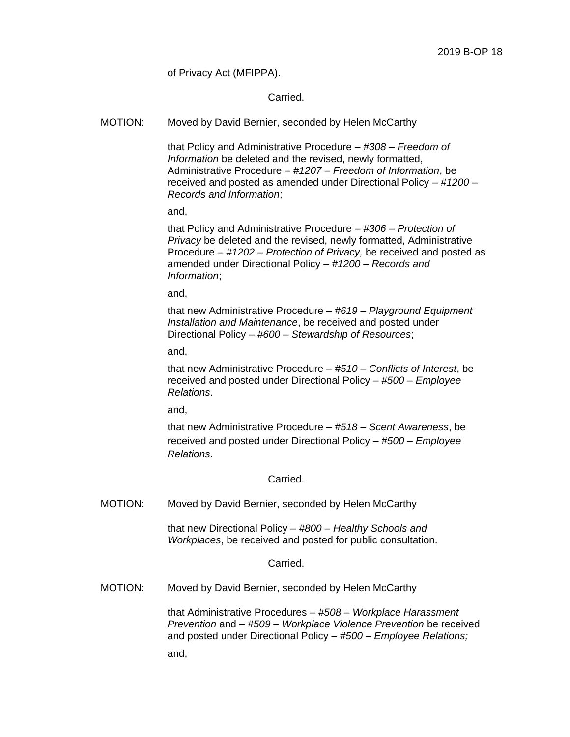of Privacy Act (MFIPPA).

Carried.

MOTION: Moved by David Bernier, seconded by Helen McCarthy

that Policy and Administrative Procedure – *#308 – Freedom of Information* be deleted and the revised, newly formatted, Administrative Procedure – *#1207 – Freedom of Information*, be received and posted as amended under Directional Policy – *#1200 – Records and Information*;

and,

that Policy and Administrative Procedure – *#306 – Protection of Privacy* be deleted and the revised, newly formatted, Administrative Procedure – *#1202 – Protection of Privacy,* be received and posted as amended under Directional Policy – *#1200 – Records and Information*;

and,

that new Administrative Procedure – *#619 – Playground Equipment Installation and Maintenance*, be received and posted under Directional Policy – *#600 – Stewardship of Resources*;

and,

that new Administrative Procedure – *#510 – Conflicts of Interest*, be received and posted under Directional Policy – *#500 – Employee Relations*.

and,

that new Administrative Procedure – *#518 – Scent Awareness*, be received and posted under Directional Policy – *#500 – Employee Relations*.

Carried.

MOTION: Moved by David Bernier, seconded by Helen McCarthy

that new Directional Policy – *#800 – Healthy Schools and Workplaces*, be received and posted for public consultation.

Carried.

MOTION: Moved by David Bernier, seconded by Helen McCarthy

that Administrative Procedures – *#508 – Workplace Harassment Prevention* and – *#509 – Workplace Violence Prevention* be received and posted under Directional Policy – *#500 – Employee Relations;*

and,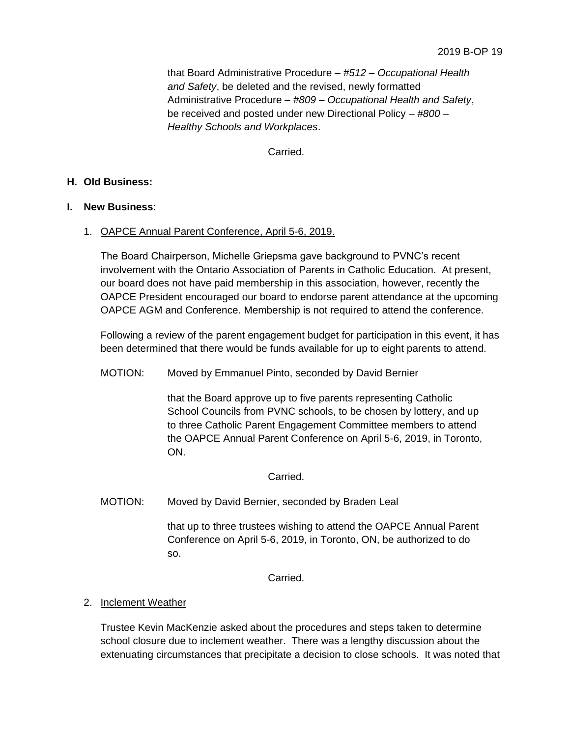that Board Administrative Procedure – *#512 – Occupational Health and Safety*, be deleted and the revised, newly formatted Administrative Procedure – *#809 – Occupational Health and Safety*, be received and posted under new Directional Policy *– #800 – Healthy Schools and Workplaces*.

Carried.

### **H. Old Business:**

### **I. New Business**:

### 1. OAPCE Annual Parent Conference, April 5-6, 2019.

The Board Chairperson, Michelle Griepsma gave background to PVNC's recent involvement with the Ontario Association of Parents in Catholic Education. At present, our board does not have paid membership in this association, however, recently the OAPCE President encouraged our board to endorse parent attendance at the upcoming OAPCE AGM and Conference. Membership is not required to attend the conference.

Following a review of the parent engagement budget for participation in this event, it has been determined that there would be funds available for up to eight parents to attend.

### MOTION: Moved by Emmanuel Pinto, seconded by David Bernier

that the Board approve up to five parents representing Catholic School Councils from PVNC schools, to be chosen by lottery, and up to three Catholic Parent Engagement Committee members to attend the OAPCE Annual Parent Conference on April 5-6, 2019, in Toronto, ON.

Carried.

MOTION: Moved by David Bernier, seconded by Braden Leal

that up to three trustees wishing to attend the OAPCE Annual Parent Conference on April 5-6, 2019, in Toronto, ON, be authorized to do so.

Carried.

## 2. Inclement Weather

Trustee Kevin MacKenzie asked about the procedures and steps taken to determine school closure due to inclement weather. There was a lengthy discussion about the extenuating circumstances that precipitate a decision to close schools. It was noted that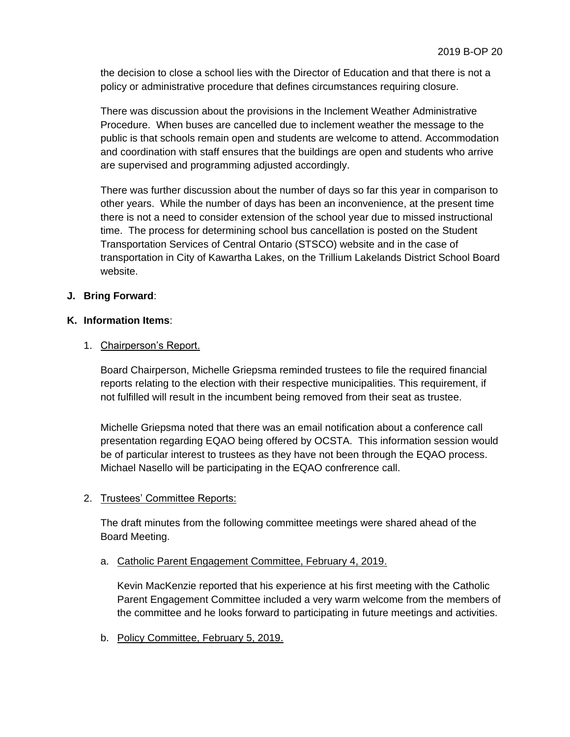the decision to close a school lies with the Director of Education and that there is not a policy or administrative procedure that defines circumstances requiring closure.

There was discussion about the provisions in the Inclement Weather Administrative Procedure. When buses are cancelled due to inclement weather the message to the public is that schools remain open and students are welcome to attend. Accommodation and coordination with staff ensures that the buildings are open and students who arrive are supervised and programming adjusted accordingly.

There was further discussion about the number of days so far this year in comparison to other years. While the number of days has been an inconvenience, at the present time there is not a need to consider extension of the school year due to missed instructional time. The process for determining school bus cancellation is posted on the Student Transportation Services of Central Ontario (STSCO) website and in the case of transportation in City of Kawartha Lakes, on the Trillium Lakelands District School Board website.

# **J. Bring Forward**:

## **K. Information Items**:

## 1. Chairperson's Report.

Board Chairperson, Michelle Griepsma reminded trustees to file the required financial reports relating to the election with their respective municipalities. This requirement, if not fulfilled will result in the incumbent being removed from their seat as trustee.

Michelle Griepsma noted that there was an email notification about a conference call presentation regarding EQAO being offered by OCSTA. This information session would be of particular interest to trustees as they have not been through the EQAO process. Michael Nasello will be participating in the EQAO confrerence call.

## 2. Trustees' Committee Reports:

The draft minutes from the following committee meetings were shared ahead of the Board Meeting.

#### a. Catholic Parent Engagement Committee, February 4, 2019.

Kevin MacKenzie reported that his experience at his first meeting with the Catholic Parent Engagement Committee included a very warm welcome from the members of the committee and he looks forward to participating in future meetings and activities.

b. Policy Committee, February 5, 2019.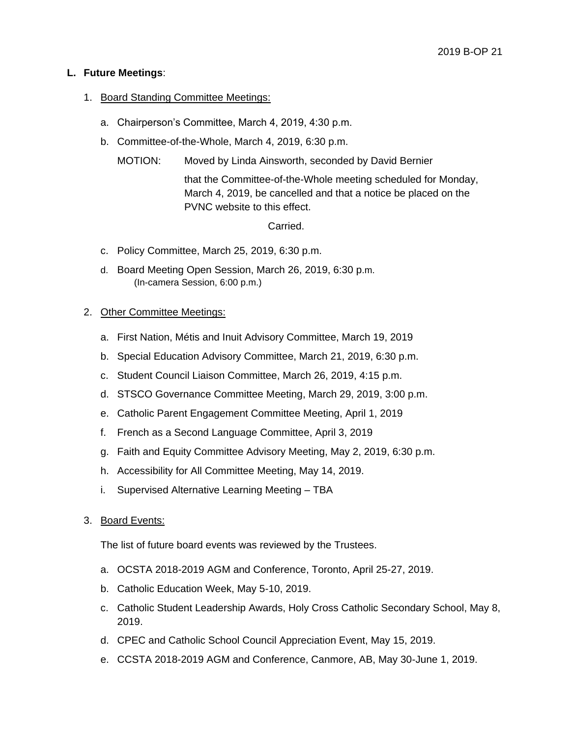## **L. Future Meetings**:

## 1. Board Standing Committee Meetings:

- a. Chairperson's Committee, March 4, 2019, 4:30 p.m.
- b. Committee-of-the-Whole, March 4, 2019, 6:30 p.m.
	- MOTION: Moved by Linda Ainsworth, seconded by David Bernier

that the Committee-of-the-Whole meeting scheduled for Monday, March 4, 2019, be cancelled and that a notice be placed on the PVNC website to this effect.

Carried.

- c. Policy Committee, March 25, 2019, 6:30 p.m.
- d. Board Meeting Open Session, March 26, 2019, 6:30 p.m. (In-camera Session, 6:00 p.m.)

## 2. Other Committee Meetings:

- a. First Nation, Métis and Inuit Advisory Committee, March 19, 2019
- b. Special Education Advisory Committee, March 21, 2019, 6:30 p.m.
- c. Student Council Liaison Committee, March 26, 2019, 4:15 p.m.
- d. STSCO Governance Committee Meeting, March 29, 2019, 3:00 p.m.
- e. Catholic Parent Engagement Committee Meeting, April 1, 2019
- f. French as a Second Language Committee, April 3, 2019
- g. Faith and Equity Committee Advisory Meeting, May 2, 2019, 6:30 p.m.
- h. Accessibility for All Committee Meeting, May 14, 2019.
- i. Supervised Alternative Learning Meeting TBA
- 3. Board Events:

The list of future board events was reviewed by the Trustees.

- a. OCSTA 2018-2019 AGM and Conference, Toronto, April 25-27, 2019.
- b. Catholic Education Week, May 5-10, 2019.
- c. Catholic Student Leadership Awards, Holy Cross Catholic Secondary School, May 8, 2019.
- d. CPEC and Catholic School Council Appreciation Event, May 15, 2019.
- e. CCSTA 2018-2019 AGM and Conference, Canmore, AB, May 30-June 1, 2019.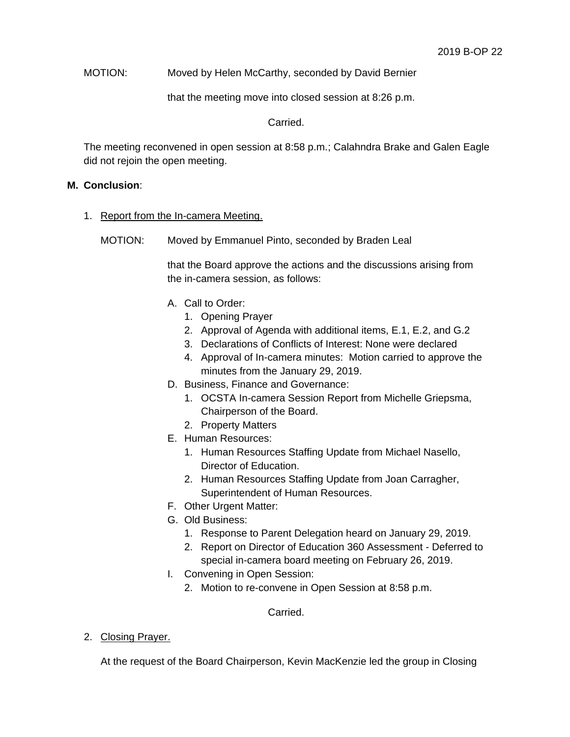MOTION: Moved by Helen McCarthy, seconded by David Bernier

that the meeting move into closed session at 8:26 p.m.

Carried.

The meeting reconvened in open session at 8:58 p.m.; Calahndra Brake and Galen Eagle did not rejoin the open meeting.

## **M. Conclusion**:

- 1. Report from the In-camera Meeting.
	- MOTION: Moved by Emmanuel Pinto, seconded by Braden Leal

that the Board approve the actions and the discussions arising from the in-camera session, as follows:

- A. Call to Order:
	- 1. Opening Prayer
	- 2. Approval of Agenda with additional items, E.1, E.2, and G.2
	- 3. Declarations of Conflicts of Interest: None were declared
	- 4. Approval of In-camera minutes: Motion carried to approve the minutes from the January 29, 2019.
- D. Business, Finance and Governance:
	- 1. OCSTA In-camera Session Report from Michelle Griepsma, Chairperson of the Board.
	- 2. Property Matters
- E. Human Resources:
	- 1. Human Resources Staffing Update from Michael Nasello, Director of Education.
	- 2. Human Resources Staffing Update from Joan Carragher, Superintendent of Human Resources.
- F. Other Urgent Matter:
- G. Old Business:
	- 1. Response to Parent Delegation heard on January 29, 2019.
	- 2. Report on Director of Education 360 Assessment Deferred to special in-camera board meeting on February 26, 2019.
- I. Convening in Open Session:
	- 2. Motion to re-convene in Open Session at 8:58 p.m.

Carried.

2. Closing Prayer.

At the request of the Board Chairperson, Kevin MacKenzie led the group in Closing